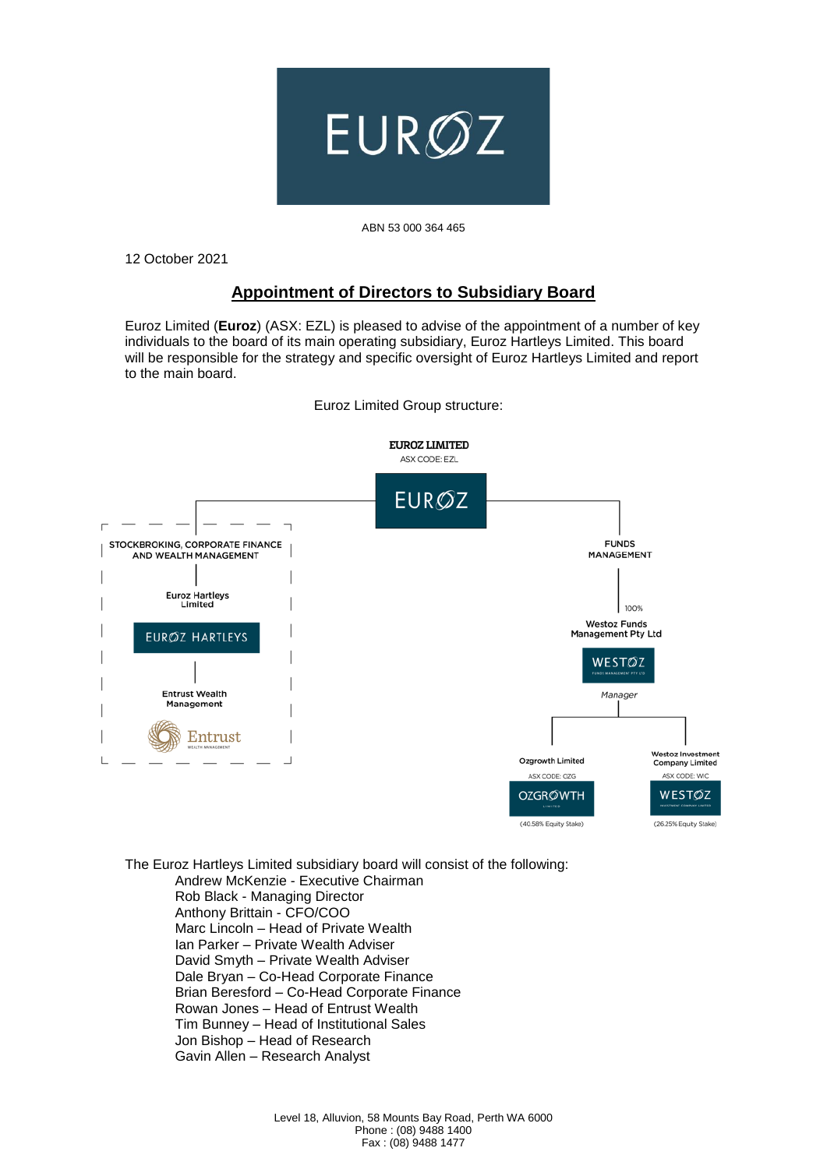

## ABN 53 000 364 465

12 October 2021

## **Appointment of Directors to Subsidiary Board**

Euroz Limited (**Euroz**) (ASX: EZL) is pleased to advise of the appointment of a number of key individuals to the board of its main operating subsidiary, Euroz Hartleys Limited. This board will be responsible for the strategy and specific oversight of Euroz Hartleys Limited and report to the main board.



Euroz Limited Group structure:

The Euroz Hartleys Limited subsidiary board will consist of the following: Andrew McKenzie - Executive Chairman Rob Black - Managing Director Anthony Brittain - CFO/COO Marc Lincoln – Head of Private Wealth Ian Parker – Private Wealth Adviser David Smyth – Private Wealth Adviser Dale Bryan – Co-Head Corporate Finance Brian Beresford – Co-Head Corporate Finance Rowan Jones – Head of Entrust Wealth Tim Bunney – Head of Institutional Sales Jon Bishop – Head of Research Gavin Allen – Research Analyst